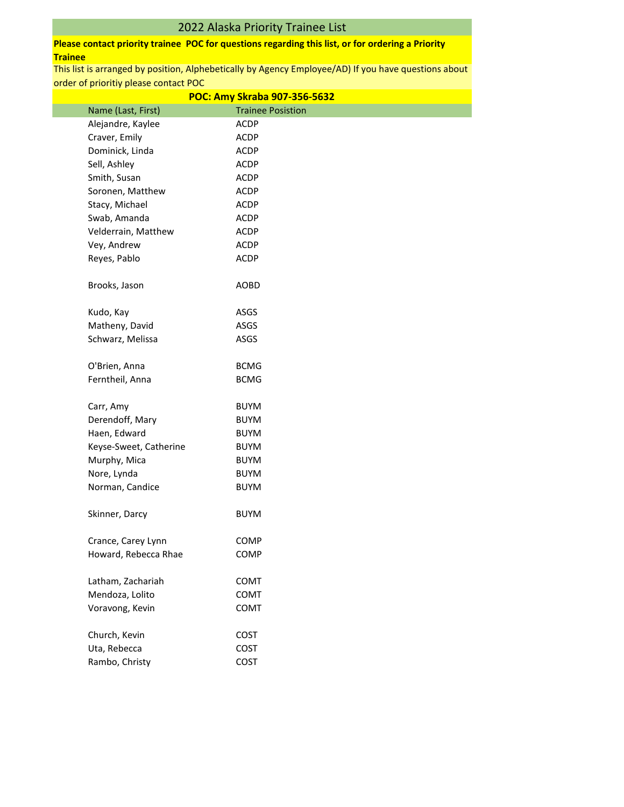# 2022 Alaska Priority Trainee List

## **Please contact priority trainee POC for questions regarding this list, or for ordering a Priority Trainee**

| POC: Amy Skraba 907-356-5632 |                          |  |
|------------------------------|--------------------------|--|
| Name (Last, First)           | <b>Trainee Posistion</b> |  |
| Alejandre, Kaylee            | <b>ACDP</b>              |  |
| Craver, Emily                | <b>ACDP</b>              |  |
| Dominick, Linda              | <b>ACDP</b>              |  |
| Sell, Ashley                 | <b>ACDP</b>              |  |
| Smith, Susan                 | <b>ACDP</b>              |  |
| Soronen, Matthew             | <b>ACDP</b>              |  |
| Stacy, Michael               | <b>ACDP</b>              |  |
| Swab, Amanda                 | <b>ACDP</b>              |  |
| Velderrain, Matthew          | ACDP                     |  |
| Vey, Andrew                  | ACDP                     |  |
| Reyes, Pablo                 | <b>ACDP</b>              |  |
| Brooks, Jason                | <b>AOBD</b>              |  |
| Kudo, Kay                    | ASGS                     |  |
| Matheny, David               | ASGS                     |  |
| Schwarz, Melissa             | ASGS                     |  |
| O'Brien, Anna                | <b>BCMG</b>              |  |
| Ferntheil, Anna              | <b>BCMG</b>              |  |
| Carr, Amy                    | <b>BUYM</b>              |  |
| Derendoff, Mary              | <b>BUYM</b>              |  |
| Haen, Edward                 | <b>BUYM</b>              |  |
| Keyse-Sweet, Catherine       | <b>BUYM</b>              |  |
| Murphy, Mica                 | <b>BUYM</b>              |  |
| Nore, Lynda                  | <b>BUYM</b>              |  |
| Norman, Candice              | <b>BUYM</b>              |  |
| Skinner, Darcy               | <b>BUYM</b>              |  |
| Crance, Carey Lynn           | <b>COMP</b>              |  |
| Howard, Rebecca Rhae         | COMP                     |  |
| Latham, Zachariah            | COMT                     |  |
| Mendoza, Lolito              | COMT                     |  |
| Voravong, Kevin              | COMT                     |  |
| Church, Kevin                | COST                     |  |
| Uta, Rebecca                 | COST                     |  |
| Rambo, Christy               | COST                     |  |
|                              |                          |  |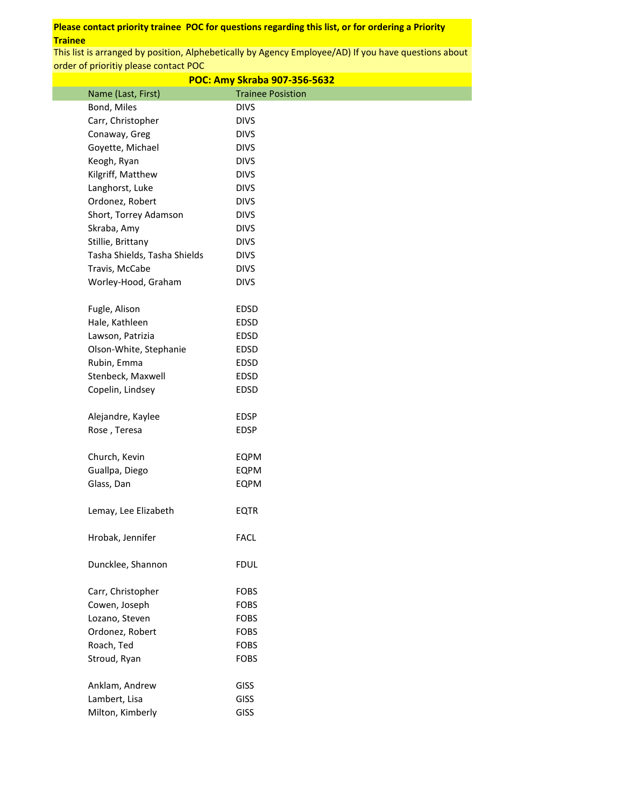| POC: Amy Skraba 907-356-5632 |                            |  |  |  |
|------------------------------|----------------------------|--|--|--|
| Name (Last, First)           | <b>Trainee Posistion</b>   |  |  |  |
| Bond, Miles                  | <b>DIVS</b>                |  |  |  |
| Carr, Christopher            | <b>DIVS</b>                |  |  |  |
| Conaway, Greg                | <b>DIVS</b>                |  |  |  |
| Goyette, Michael             | <b>DIVS</b>                |  |  |  |
| Keogh, Ryan                  | <b>DIVS</b>                |  |  |  |
| Kilgriff, Matthew            | <b>DIVS</b>                |  |  |  |
| Langhorst, Luke              | <b>DIVS</b>                |  |  |  |
| Ordonez, Robert              | <b>DIVS</b>                |  |  |  |
| Short, Torrey Adamson        | <b>DIVS</b>                |  |  |  |
| Skraba, Amy                  | <b>DIVS</b>                |  |  |  |
| Stillie, Brittany            | <b>DIVS</b>                |  |  |  |
| Tasha Shields, Tasha Shields | <b>DIVS</b>                |  |  |  |
| Travis, McCabe               | <b>DIVS</b>                |  |  |  |
| Worley-Hood, Graham          | <b>DIVS</b>                |  |  |  |
|                              |                            |  |  |  |
| Fugle, Alison                | EDSD                       |  |  |  |
| Hale, Kathleen               | EDSD                       |  |  |  |
| Lawson, Patrizia             | EDSD                       |  |  |  |
| Olson-White, Stephanie       | EDSD                       |  |  |  |
| Rubin, Emma                  | EDSD                       |  |  |  |
| Stenbeck, Maxwell            | EDSD                       |  |  |  |
| Copelin, Lindsey             | EDSD                       |  |  |  |
|                              |                            |  |  |  |
| Alejandre, Kaylee            | EDSP                       |  |  |  |
| Rose, Teresa                 | <b>EDSP</b>                |  |  |  |
|                              |                            |  |  |  |
| Church, Kevin                | EQPM                       |  |  |  |
| Guallpa, Diego               | EQPM                       |  |  |  |
| Glass, Dan                   | <b>EQPM</b>                |  |  |  |
|                              |                            |  |  |  |
| Lemay, Lee Elizabeth         | EQTR                       |  |  |  |
|                              |                            |  |  |  |
| Hrobak, Jennifer             | <b>FACL</b>                |  |  |  |
|                              |                            |  |  |  |
| Duncklee, Shannon            | <b>FDUL</b>                |  |  |  |
| Carr, Christopher            | <b>FOBS</b>                |  |  |  |
| Cowen, Joseph                | <b>FOBS</b>                |  |  |  |
| Lozano, Steven               | <b>FOBS</b>                |  |  |  |
| Ordonez, Robert              |                            |  |  |  |
| Roach, Ted                   | <b>FOBS</b><br><b>FOBS</b> |  |  |  |
| Stroud, Ryan                 | <b>FOBS</b>                |  |  |  |
|                              |                            |  |  |  |
| Anklam, Andrew               | <b>GISS</b>                |  |  |  |
| Lambert, Lisa                | <b>GISS</b>                |  |  |  |
| Milton, Kimberly             | <b>GISS</b>                |  |  |  |
|                              |                            |  |  |  |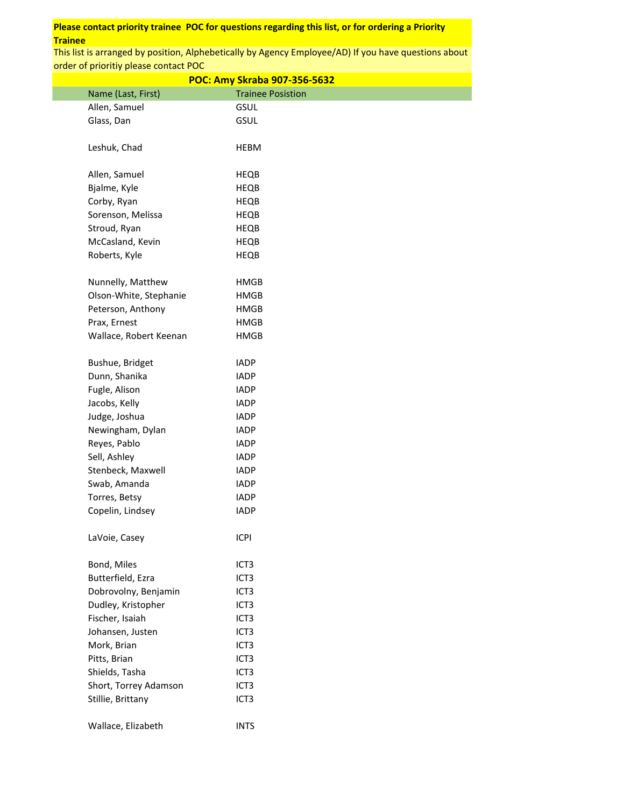| POC: Amy Skraba 907-356-5632 |                          |  |  |
|------------------------------|--------------------------|--|--|
| Name (Last, First)           | <b>Trainee Posistion</b> |  |  |
| Allen, Samuel                | <b>GSUL</b>              |  |  |
| Glass, Dan                   | <b>GSUL</b>              |  |  |
|                              |                          |  |  |
| Leshuk, Chad                 | <b>HEBM</b>              |  |  |
|                              |                          |  |  |
| Allen, Samuel                | HEQB                     |  |  |
| Bjalme, Kyle                 | <b>HEQB</b>              |  |  |
| Corby, Ryan                  | HEQB                     |  |  |
| Sorenson, Melissa            | HEQB                     |  |  |
| Stroud, Ryan                 | HEQB                     |  |  |
| McCasland, Kevin             | HEQB                     |  |  |
| Roberts, Kyle                | <b>HEQB</b>              |  |  |
| Nunnelly, Matthew            | <b>HMGB</b>              |  |  |
| Olson-White, Stephanie       | <b>HMGB</b>              |  |  |
| Peterson, Anthony            | <b>HMGB</b>              |  |  |
| Prax, Ernest                 | HMGB                     |  |  |
| Wallace, Robert Keenan       | <b>HMGB</b>              |  |  |
| Bushue, Bridget              | <b>IADP</b>              |  |  |
| Dunn, Shanika                | <b>IADP</b>              |  |  |
| Fugle, Alison                | <b>IADP</b>              |  |  |
| Jacobs, Kelly                | <b>IADP</b>              |  |  |
| Judge, Joshua                | <b>IADP</b>              |  |  |
| Newingham, Dylan             | <b>IADP</b>              |  |  |
| Reyes, Pablo                 | <b>IADP</b>              |  |  |
| Sell, Ashley                 | <b>IADP</b>              |  |  |
| Stenbeck, Maxwell            | <b>IADP</b>              |  |  |
| Swab, Amanda                 | <b>IADP</b>              |  |  |
| Torres, Betsy                | <b>IADP</b>              |  |  |
| Copelin, Lindsey             | <b>IADP</b>              |  |  |
|                              |                          |  |  |
| LaVoie, Casey                | <b>ICPI</b>              |  |  |
| Bond, Miles                  | ICT <sub>3</sub>         |  |  |
| Butterfield, Ezra            | ICT <sub>3</sub>         |  |  |
| Dobrovolny, Benjamin         | ICT <sub>3</sub>         |  |  |
| Dudley, Kristopher           | ICT <sub>3</sub>         |  |  |
| Fischer, Isaiah              | ICT <sub>3</sub>         |  |  |
| Johansen, Justen             | ICT <sub>3</sub>         |  |  |
| Mork, Brian                  | ICT <sub>3</sub>         |  |  |
| Pitts, Brian                 | ICT <sub>3</sub>         |  |  |
| Shields, Tasha               | ICT <sub>3</sub>         |  |  |
| Short, Torrey Adamson        | ICT <sub>3</sub>         |  |  |
| Stillie, Brittany            | ICT <sub>3</sub>         |  |  |
| Wallace, Elizabeth           | <b>INTS</b>              |  |  |
|                              |                          |  |  |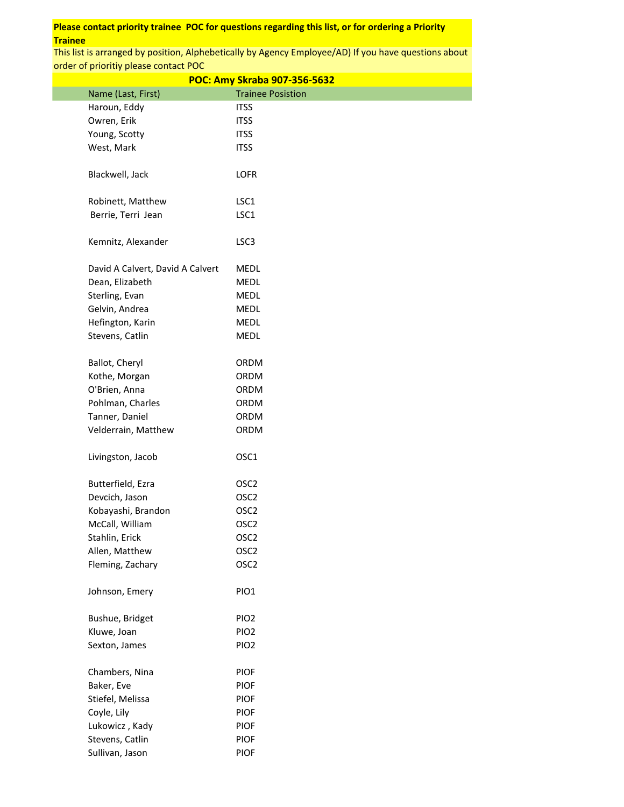| POC: Amy Skraba 907-356-5632     |                          |  |  |
|----------------------------------|--------------------------|--|--|
| Name (Last, First)               | <b>Trainee Posistion</b> |  |  |
| Haroun, Eddy                     | <b>ITSS</b>              |  |  |
| Owren, Erik                      | <b>ITSS</b>              |  |  |
| Young, Scotty                    | <b>ITSS</b>              |  |  |
| West, Mark                       | <b>ITSS</b>              |  |  |
|                                  |                          |  |  |
| Blackwell, Jack                  | <b>LOFR</b>              |  |  |
|                                  |                          |  |  |
| Robinett, Matthew                | LSC1                     |  |  |
| Berrie, Terri Jean               | LSC1                     |  |  |
|                                  |                          |  |  |
| Kemnitz, Alexander               | LSC <sub>3</sub>         |  |  |
|                                  |                          |  |  |
| David A Calvert, David A Calvert | MEDL                     |  |  |
| Dean, Elizabeth                  | MEDL                     |  |  |
| Sterling, Evan                   | <b>MEDL</b>              |  |  |
| Gelvin, Andrea                   | <b>MEDL</b>              |  |  |
| Hefington, Karin                 | <b>MEDL</b>              |  |  |
| Stevens, Catlin                  | MEDL                     |  |  |
|                                  |                          |  |  |
| Ballot, Cheryl                   | <b>ORDM</b>              |  |  |
| Kothe, Morgan                    | ORDM                     |  |  |
| O'Brien, Anna                    | <b>ORDM</b>              |  |  |
| Pohlman, Charles                 | ORDM                     |  |  |
| Tanner, Daniel                   | ORDM                     |  |  |
| Velderrain, Matthew              | ORDM                     |  |  |
|                                  |                          |  |  |
| Livingston, Jacob                | OSC1                     |  |  |
|                                  |                          |  |  |
| Butterfield, Ezra                | OSC <sub>2</sub>         |  |  |
| Devcich, Jason                   | OSC <sub>2</sub>         |  |  |
| Kobayashi, Brandon               | OSC <sub>2</sub>         |  |  |
| McCall, William                  | OSC <sub>2</sub>         |  |  |
| Stahlin, Erick                   | OSC <sub>2</sub>         |  |  |
| Allen, Matthew                   | OSC <sub>2</sub>         |  |  |
| Fleming, Zachary                 | OSC <sub>2</sub>         |  |  |
|                                  |                          |  |  |
| Johnson, Emery                   | PIO1                     |  |  |
|                                  |                          |  |  |
| Bushue, Bridget                  | PIO <sub>2</sub>         |  |  |
| Kluwe, Joan                      | PIO <sub>2</sub>         |  |  |
| Sexton, James                    | PIO <sub>2</sub>         |  |  |
|                                  |                          |  |  |
| Chambers, Nina                   | <b>PIOF</b>              |  |  |
| Baker, Eve                       | <b>PIOF</b>              |  |  |
| Stiefel, Melissa                 | <b>PIOF</b>              |  |  |
| Coyle, Lily                      | <b>PIOF</b>              |  |  |
| Lukowicz, Kady                   | <b>PIOF</b>              |  |  |
| Stevens, Catlin                  | <b>PIOF</b>              |  |  |
| Sullivan, Jason                  | <b>PIOF</b>              |  |  |
|                                  |                          |  |  |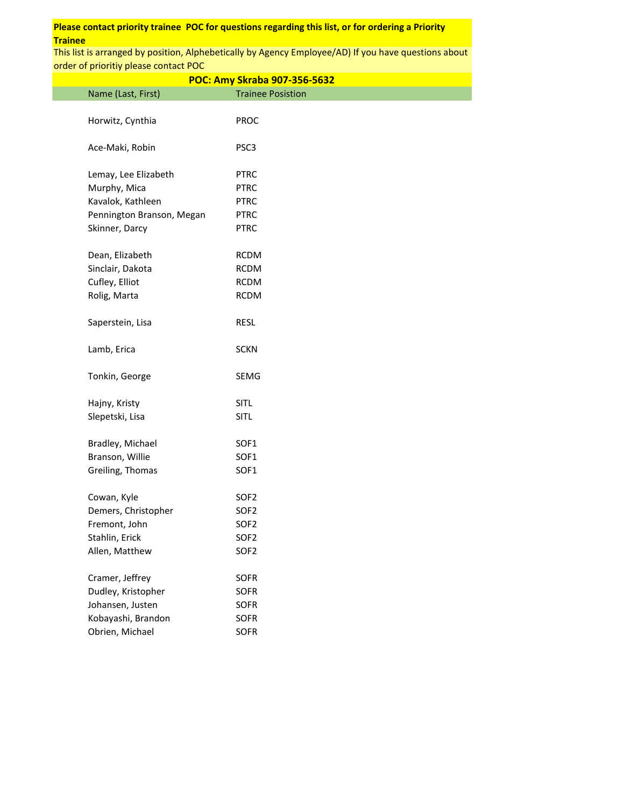|                           | POC: Amy Skraba 907-356-5632 |
|---------------------------|------------------------------|
| Name (Last, First)        | <b>Trainee Posistion</b>     |
| Horwitz, Cynthia          | <b>PROC</b>                  |
|                           |                              |
| Ace-Maki, Robin           | PSC <sub>3</sub>             |
|                           |                              |
| Lemay, Lee Elizabeth      | <b>PTRC</b>                  |
| Murphy, Mica              | <b>PTRC</b>                  |
| Kavalok, Kathleen         | <b>PTRC</b>                  |
| Pennington Branson, Megan | <b>PTRC</b>                  |
| Skinner, Darcy            | <b>PTRC</b>                  |
| Dean, Elizabeth           | <b>RCDM</b>                  |
| Sinclair, Dakota          | <b>RCDM</b>                  |
| Cufley, Elliot            | <b>RCDM</b>                  |
| Rolig, Marta              | <b>RCDM</b>                  |
| Saperstein, Lisa          | <b>RESL</b>                  |
| Lamb, Erica               | <b>SCKN</b>                  |
| Tonkin, George            | SEMG                         |
| Hajny, Kristy             | SITL                         |
| Slepetski, Lisa           | SITL                         |
|                           |                              |
| Bradley, Michael          | SOF1                         |
| Branson, Willie           | SOF1                         |
| Greiling, Thomas          | SOF1                         |
| Cowan, Kyle               | SOF <sub>2</sub>             |
| Demers, Christopher       | SOF <sub>2</sub>             |
| Fremont, John             | SOF <sub>2</sub>             |
| Stahlin, Erick            | SOF <sub>2</sub>             |
| Allen, Matthew            | SOF <sub>2</sub>             |
| Cramer, Jeffrey           | SOFR                         |
| Dudley, Kristopher        | SOFR                         |
| Johansen, Justen          | SOFR                         |
| Kobayashi, Brandon        | SOFR                         |
| Obrien, Michael           | <b>SOFR</b>                  |
|                           |                              |